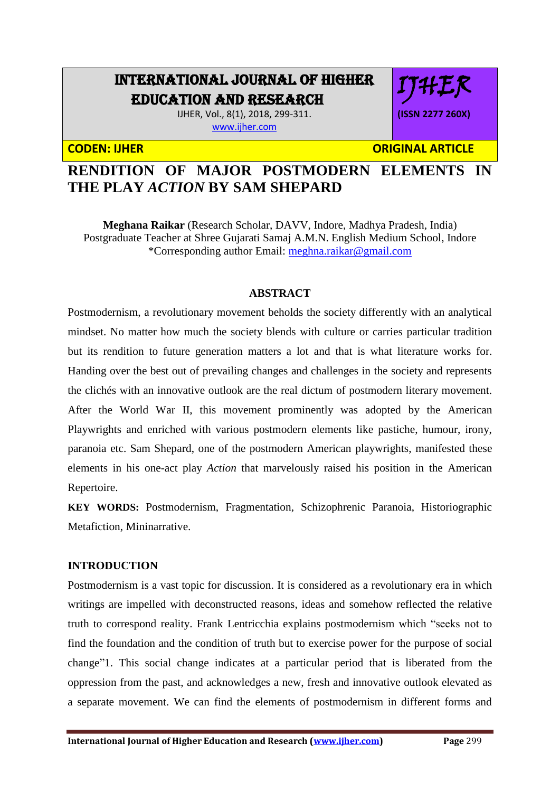# INTERNATIONAL JOURNAL OF HIGHER EDUCATION AND RESEARCH

IJHER, Vol., 8(1), 2018, 299-311. [www.ijher.com](http://www.ijher.com/)

**CODEN: IJHER ORIGINAL ARTICLE** 

IJHER

**(ISSN 2277 260X)**

## **RENDITION OF MAJOR POSTMODERN ELEMENTS IN THE PLAY** *ACTION* **BY SAM SHEPARD**

**Meghana Raikar** (Research Scholar, DAVV, Indore, Madhya Pradesh, India) Postgraduate Teacher at Shree Gujarati Samaj A.M.N. English Medium School, Indore \*Corresponding author Email: [meghna.raikar@gmail.com](mailto:meghna.raikar@gmail.com)

## **ABSTRACT**

Postmodernism, a revolutionary movement beholds the society differently with an analytical mindset. No matter how much the society blends with culture or carries particular tradition but its rendition to future generation matters a lot and that is what literature works for. Handing over the best out of prevailing changes and challenges in the society and represents the clichés with an innovative outlook are the real dictum of postmodern literary movement. After the World War II, this movement prominently was adopted by the American Playwrights and enriched with various postmodern elements like pastiche, humour, irony, paranoia etc. Sam Shepard, one of the postmodern American playwrights, manifested these elements in his one-act play *Action* that marvelously raised his position in the American Repertoire.

**KEY WORDS:** Postmodernism, Fragmentation, Schizophrenic Paranoia, Historiographic Metafiction, Mininarrative.

## **INTRODUCTION**

Postmodernism is a vast topic for discussion. It is considered as a revolutionary era in which writings are impelled with deconstructed reasons, ideas and somehow reflected the relative truth to correspond reality. Frank Lentricchia explains postmodernism which "seeks not to find the foundation and the condition of truth but to exercise power for the purpose of social change"1. This social change indicates at a particular period that is liberated from the oppression from the past, and acknowledges a new, fresh and innovative outlook elevated as a separate movement. We can find the elements of postmodernism in different forms and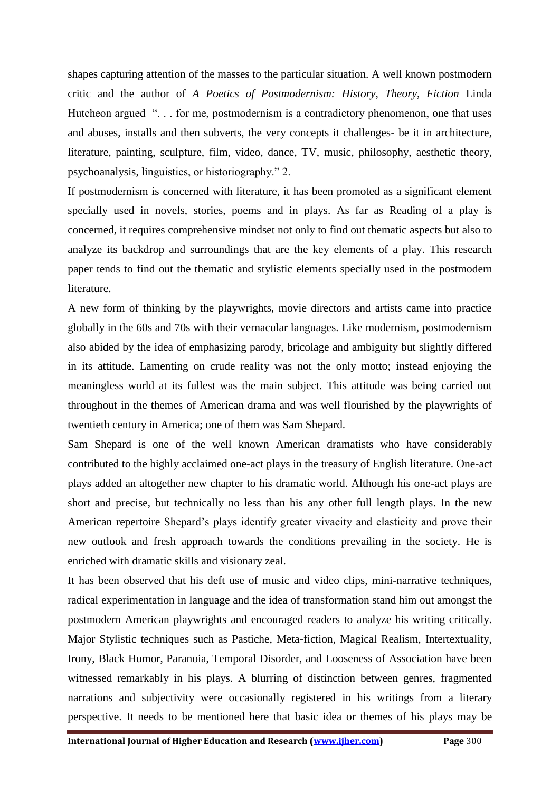shapes capturing attention of the masses to the particular situation. A well known postmodern critic and the author of *A Poetics of Postmodernism: History, Theory, Fiction* Linda Hutcheon argued "... for me, postmodernism is a contradictory phenomenon, one that uses and abuses, installs and then subverts, the very concepts it challenges- be it in architecture, literature, painting, sculpture, film, video, dance, TV, music, philosophy, aesthetic theory, psychoanalysis, linguistics, or historiography." 2.

If postmodernism is concerned with literature, it has been promoted as a significant element specially used in novels, stories, poems and in plays. As far as Reading of a play is concerned, it requires comprehensive mindset not only to find out thematic aspects but also to analyze its backdrop and surroundings that are the key elements of a play. This research paper tends to find out the thematic and stylistic elements specially used in the postmodern literature.

A new form of thinking by the playwrights, movie directors and artists came into practice globally in the 60s and 70s with their vernacular languages. Like modernism, postmodernism also abided by the idea of emphasizing parody, bricolage and ambiguity but slightly differed in its attitude. Lamenting on crude reality was not the only motto; instead enjoying the meaningless world at its fullest was the main subject. This attitude was being carried out throughout in the themes of American drama and was well flourished by the playwrights of twentieth century in America; one of them was Sam Shepard.

Sam Shepard is one of the well known American dramatists who have considerably contributed to the highly acclaimed one-act plays in the treasury of English literature. One-act plays added an altogether new chapter to his dramatic world. Although his one-act plays are short and precise, but technically no less than his any other full length plays. In the new American repertoire Shepard's plays identify greater vivacity and elasticity and prove their new outlook and fresh approach towards the conditions prevailing in the society. He is enriched with dramatic skills and visionary zeal.

It has been observed that his deft use of music and video clips, mini-narrative techniques, radical experimentation in language and the idea of transformation stand him out amongst the postmodern American playwrights and encouraged readers to analyze his writing critically. Major Stylistic techniques such as Pastiche, Meta-fiction, Magical Realism, Intertextuality, Irony, Black Humor, Paranoia, Temporal Disorder, and Looseness of Association have been witnessed remarkably in his plays. A blurring of distinction between genres, fragmented narrations and subjectivity were occasionally registered in his writings from a literary perspective. It needs to be mentioned here that basic idea or themes of his plays may be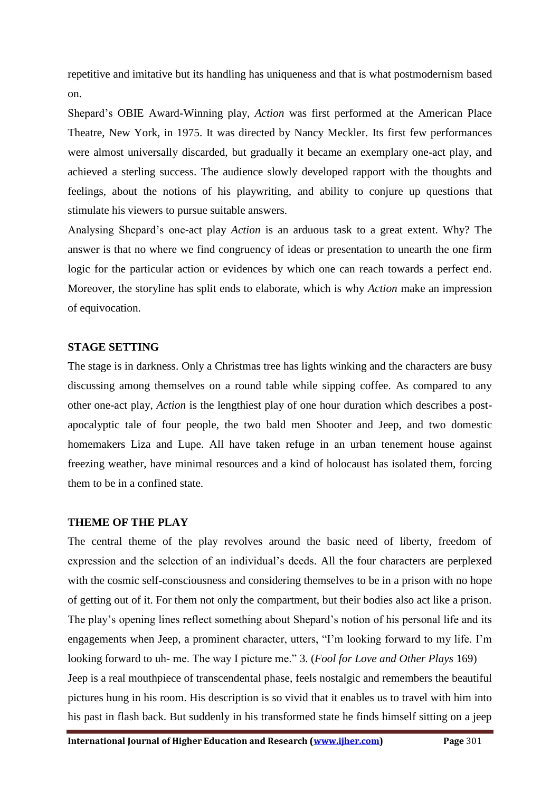repetitive and imitative but its handling has uniqueness and that is what postmodernism based on.

Shepard's OBIE Award-Winning play, *Action* was first performed at the American Place Theatre, New York, in 1975. It was directed by Nancy Meckler. Its first few performances were almost universally discarded, but gradually it became an exemplary one-act play, and achieved a sterling success. The audience slowly developed rapport with the thoughts and feelings, about the notions of his playwriting, and ability to conjure up questions that stimulate his viewers to pursue suitable answers.

Analysing Shepard's one-act play *Action* is an arduous task to a great extent. Why? The answer is that no where we find congruency of ideas or presentation to unearth the one firm logic for the particular action or evidences by which one can reach towards a perfect end. Moreover, the storyline has split ends to elaborate, which is why *Action* make an impression of equivocation.

#### **STAGE SETTING**

The stage is in darkness. Only a Christmas tree has lights winking and the characters are busy discussing among themselves on a round table while sipping coffee. As compared to any other one-act play, *Action* is the lengthiest play of one hour duration which describes a postapocalyptic tale of four people, the two bald men Shooter and Jeep, and two domestic homemakers Liza and Lupe. All have taken refuge in an urban tenement house against freezing weather, have minimal resources and a kind of holocaust has isolated them, forcing them to be in a confined state.

#### **THEME OF THE PLAY**

The central theme of the play revolves around the basic need of liberty, freedom of expression and the selection of an individual's deeds. All the four characters are perplexed with the cosmic self-consciousness and considering themselves to be in a prison with no hope of getting out of it. For them not only the compartment, but their bodies also act like a prison. The play's opening lines reflect something about Shepard's notion of his personal life and its engagements when Jeep, a prominent character, utters, "I'm looking forward to my life. I'm looking forward to uh- me. The way I picture me." 3. (*Fool for Love and Other Plays* 169) Jeep is a real mouthpiece of transcendental phase, feels nostalgic and remembers the beautiful pictures hung in his room. His description is so vivid that it enables us to travel with him into his past in flash back. But suddenly in his transformed state he finds himself sitting on a jeep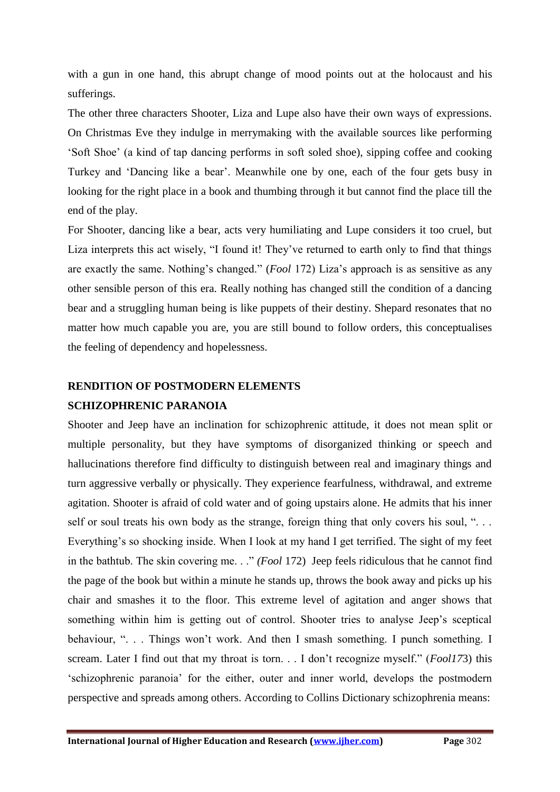with a gun in one hand, this abrupt change of mood points out at the holocaust and his sufferings.

The other three characters Shooter, Liza and Lupe also have their own ways of expressions. On Christmas Eve they indulge in merrymaking with the available sources like performing 'Soft Shoe' (a kind of tap dancing performs in soft soled shoe), sipping coffee and cooking Turkey and 'Dancing like a bear'. Meanwhile one by one, each of the four gets busy in looking for the right place in a book and thumbing through it but cannot find the place till the end of the play.

For Shooter, dancing like a bear, acts very humiliating and Lupe considers it too cruel, but Liza interprets this act wisely, "I found it! They've returned to earth only to find that things are exactly the same. Nothing's changed." (*Fool* 172) Liza's approach is as sensitive as any other sensible person of this era. Really nothing has changed still the condition of a dancing bear and a struggling human being is like puppets of their destiny. Shepard resonates that no matter how much capable you are, you are still bound to follow orders, this conceptualises the feeling of dependency and hopelessness.

## **RENDITION OF POSTMODERN ELEMENTS SCHIZOPHRENIC PARANOIA**

Shooter and Jeep have an inclination for schizophrenic attitude, it does not mean split or multiple personality, but they have symptoms of disorganized thinking or speech and hallucinations therefore find difficulty to distinguish between real and imaginary things and turn aggressive verbally or physically. They experience fearfulness, withdrawal, and extreme agitation. Shooter is afraid of cold water and of going upstairs alone. He admits that his inner self or soul treats his own body as the strange, foreign thing that only covers his soul, "... Everything's so shocking inside. When I look at my hand I get terrified. The sight of my feet in the bathtub. The skin covering me. . ." *(Fool* 172) Jeep feels ridiculous that he cannot find the page of the book but within a minute he stands up, throws the book away and picks up his chair and smashes it to the floor. This extreme level of agitation and anger shows that something within him is getting out of control. Shooter tries to analyse Jeep's sceptical behaviour, ". . . Things won't work. And then I smash something. I punch something. I scream. Later I find out that my throat is torn. . . I don't recognize myself." (*Fool17*3) this 'schizophrenic paranoia' for the either, outer and inner world, develops the postmodern perspective and spreads among others. According to Collins Dictionary schizophrenia means: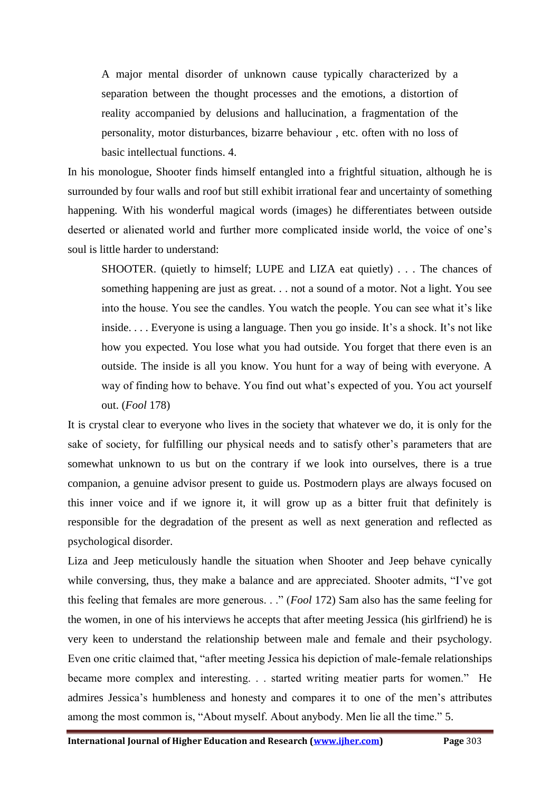A major mental disorder of unknown cause typically characterized by a separation between the thought processes and the emotions, a distortion of reality accompanied by delusions and hallucination, a fragmentation of the personality, motor disturbances, bizarre behaviour , etc. often with no loss of basic intellectual functions. 4.

In his monologue, Shooter finds himself entangled into a frightful situation, although he is surrounded by four walls and roof but still exhibit irrational fear and uncertainty of something happening. With his wonderful magical words (images) he differentiates between outside deserted or alienated world and further more complicated inside world, the voice of one's soul is little harder to understand:

SHOOTER. (quietly to himself; LUPE and LIZA eat quietly) . . . The chances of something happening are just as great. . . not a sound of a motor. Not a light. You see into the house. You see the candles. You watch the people. You can see what it's like inside. . . . Everyone is using a language. Then you go inside. It's a shock. It's not like how you expected. You lose what you had outside. You forget that there even is an outside. The inside is all you know. You hunt for a way of being with everyone. A way of finding how to behave. You find out what's expected of you. You act yourself out. (*Fool* 178)

It is crystal clear to everyone who lives in the society that whatever we do, it is only for the sake of society, for fulfilling our physical needs and to satisfy other's parameters that are somewhat unknown to us but on the contrary if we look into ourselves, there is a true companion, a genuine advisor present to guide us. Postmodern plays are always focused on this inner voice and if we ignore it, it will grow up as a bitter fruit that definitely is responsible for the degradation of the present as well as next generation and reflected as psychological disorder.

Liza and Jeep meticulously handle the situation when Shooter and Jeep behave cynically while conversing, thus, they make a balance and are appreciated. Shooter admits, "I've got this feeling that females are more generous. . ." (*Fool* 172) Sam also has the same feeling for the women, in one of his interviews he accepts that after meeting Jessica (his girlfriend) he is very keen to understand the relationship between male and female and their psychology. Even one critic claimed that, "after meeting Jessica his depiction of male-female relationships became more complex and interesting. . . started writing meatier parts for women." He admires Jessica's humbleness and honesty and compares it to one of the men's attributes among the most common is, "About myself. About anybody. Men lie all the time." 5.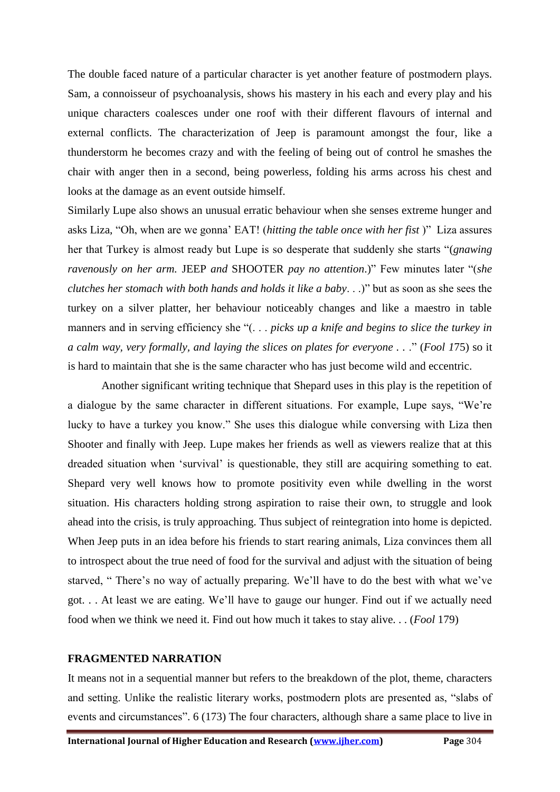The double faced nature of a particular character is yet another feature of postmodern plays. Sam, a connoisseur of psychoanalysis, shows his mastery in his each and every play and his unique characters coalesces under one roof with their different flavours of internal and external conflicts. The characterization of Jeep is paramount amongst the four, like a thunderstorm he becomes crazy and with the feeling of being out of control he smashes the chair with anger then in a second, being powerless, folding his arms across his chest and looks at the damage as an event outside himself.

Similarly Lupe also shows an unusual erratic behaviour when she senses extreme hunger and asks Liza, "Oh, when are we gonna' EAT! (*hitting the table once with her fist* )" Liza assures her that Turkey is almost ready but Lupe is so desperate that suddenly she starts "(*gnawing ravenously on her arm.* JEEP *and* SHOOTER *pay no attention*.)" Few minutes later "(*she clutches her stomach with both hands and holds it like a baby*. . .)" but as soon as she sees the turkey on a silver platter, her behaviour noticeably changes and like a maestro in table manners and in serving efficiency she "(. . . *picks up a knife and begins to slice the turkey in a calm way, very formally, and laying the slices on plates for everyone . .* ." (*Fool 1*75) so it is hard to maintain that she is the same character who has just become wild and eccentric.

Another significant writing technique that Shepard uses in this play is the repetition of a dialogue by the same character in different situations. For example, Lupe says, "We're lucky to have a turkey you know." She uses this dialogue while conversing with Liza then Shooter and finally with Jeep. Lupe makes her friends as well as viewers realize that at this dreaded situation when 'survival' is questionable, they still are acquiring something to eat. Shepard very well knows how to promote positivity even while dwelling in the worst situation. His characters holding strong aspiration to raise their own, to struggle and look ahead into the crisis, is truly approaching. Thus subject of reintegration into home is depicted. When Jeep puts in an idea before his friends to start rearing animals, Liza convinces them all to introspect about the true need of food for the survival and adjust with the situation of being starved, " There's no way of actually preparing. We'll have to do the best with what we've got. . . At least we are eating. We'll have to gauge our hunger. Find out if we actually need food when we think we need it. Find out how much it takes to stay alive. . . (*Fool* 179)

#### **FRAGMENTED NARRATION**

It means not in a sequential manner but refers to the breakdown of the plot, theme, characters and setting. Unlike the realistic literary works, postmodern plots are presented as, "slabs of events and circumstances". 6 (173) The four characters, although share a same place to live in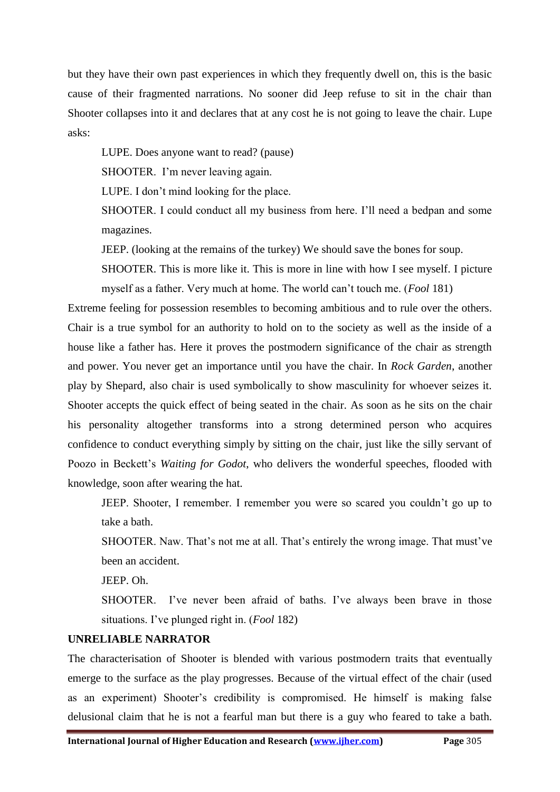but they have their own past experiences in which they frequently dwell on, this is the basic cause of their fragmented narrations. No sooner did Jeep refuse to sit in the chair than Shooter collapses into it and declares that at any cost he is not going to leave the chair. Lupe asks:

LUPE. Does anyone want to read? (pause)

SHOOTER. I'm never leaving again.

LUPE. I don't mind looking for the place.

SHOOTER. I could conduct all my business from here. I'll need a bedpan and some magazines.

JEEP. (looking at the remains of the turkey) We should save the bones for soup.

SHOOTER. This is more like it. This is more in line with how I see myself. I picture myself as a father. Very much at home. The world can't touch me. (*Fool* 181)

Extreme feeling for possession resembles to becoming ambitious and to rule over the others. Chair is a true symbol for an authority to hold on to the society as well as the inside of a house like a father has. Here it proves the postmodern significance of the chair as strength and power. You never get an importance until you have the chair. In *Rock Garden*, another play by Shepard, also chair is used symbolically to show masculinity for whoever seizes it. Shooter accepts the quick effect of being seated in the chair. As soon as he sits on the chair his personality altogether transforms into a strong determined person who acquires confidence to conduct everything simply by sitting on the chair, just like the silly servant of Poozo in Beckett's *Waiting for Godot*, who delivers the wonderful speeches, flooded with knowledge, soon after wearing the hat.

JEEP. Shooter, I remember. I remember you were so scared you couldn't go up to take a bath.

SHOOTER. Naw. That's not me at all. That's entirely the wrong image. That must've been an accident.

JEEP. Oh.

SHOOTER. I've never been afraid of baths. I've always been brave in those situations. I've plunged right in. (*Fool* 182)

#### **UNRELIABLE NARRATOR**

The characterisation of Shooter is blended with various postmodern traits that eventually emerge to the surface as the play progresses. Because of the virtual effect of the chair (used as an experiment) Shooter's credibility is compromised. He himself is making false delusional claim that he is not a fearful man but there is a guy who feared to take a bath.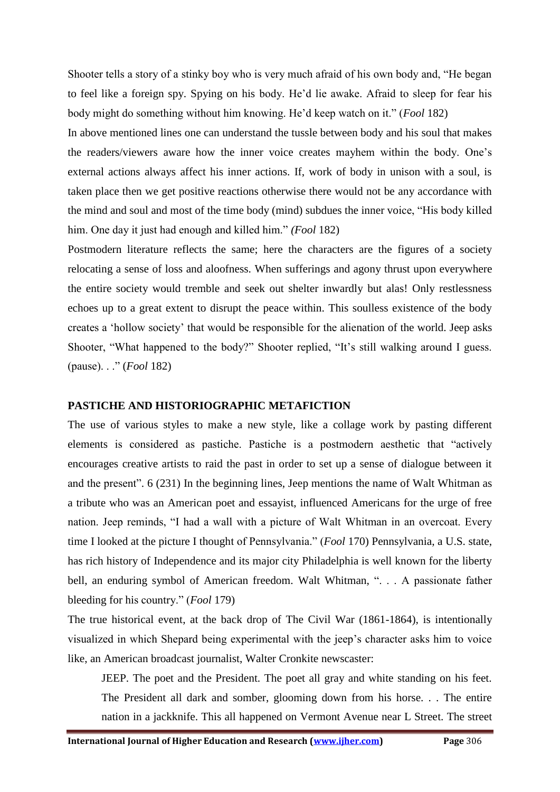Shooter tells a story of a stinky boy who is very much afraid of his own body and, "He began to feel like a foreign spy. Spying on his body. He'd lie awake. Afraid to sleep for fear his body might do something without him knowing. He'd keep watch on it." (*Fool* 182)

In above mentioned lines one can understand the tussle between body and his soul that makes the readers/viewers aware how the inner voice creates mayhem within the body. One's external actions always affect his inner actions. If, work of body in unison with a soul, is taken place then we get positive reactions otherwise there would not be any accordance with the mind and soul and most of the time body (mind) subdues the inner voice, "His body killed him. One day it just had enough and killed him." *(Fool* 182)

Postmodern literature reflects the same; here the characters are the figures of a society relocating a sense of loss and aloofness. When sufferings and agony thrust upon everywhere the entire society would tremble and seek out shelter inwardly but alas! Only restlessness echoes up to a great extent to disrupt the peace within. This soulless existence of the body creates a 'hollow society' that would be responsible for the alienation of the world. Jeep asks Shooter, "What happened to the body?" Shooter replied, "It's still walking around I guess. (pause). . ." (*Fool* 182)

#### **PASTICHE AND HISTORIOGRAPHIC METAFICTION**

The use of various styles to make a new style, like a collage work by pasting different elements is considered as pastiche. Pastiche is a postmodern aesthetic that "actively encourages creative artists to raid the past in order to set up a sense of dialogue between it and the present". 6 (231) In the beginning lines, Jeep mentions the name of Walt Whitman as a tribute who was an American poet and essayist, influenced Americans for the urge of free nation. Jeep reminds, "I had a wall with a picture of Walt Whitman in an overcoat. Every time I looked at the picture I thought of Pennsylvania." (*Fool* 170) Pennsylvania, a U.S. state, has rich history of Independence and its major city Philadelphia is well known for the liberty bell, an enduring symbol of American freedom. Walt Whitman, ". . . A passionate father bleeding for his country." (*Fool* 179)

The true historical event, at the back drop of The Civil War (1861-1864), is intentionally visualized in which Shepard being experimental with the jeep's character asks him to voice like, an American broadcast journalist, Walter Cronkite newscaster:

JEEP. The poet and the President. The poet all gray and white standing on his feet. The President all dark and somber, glooming down from his horse. . . The entire nation in a jackknife. This all happened on Vermont Avenue near L Street. The street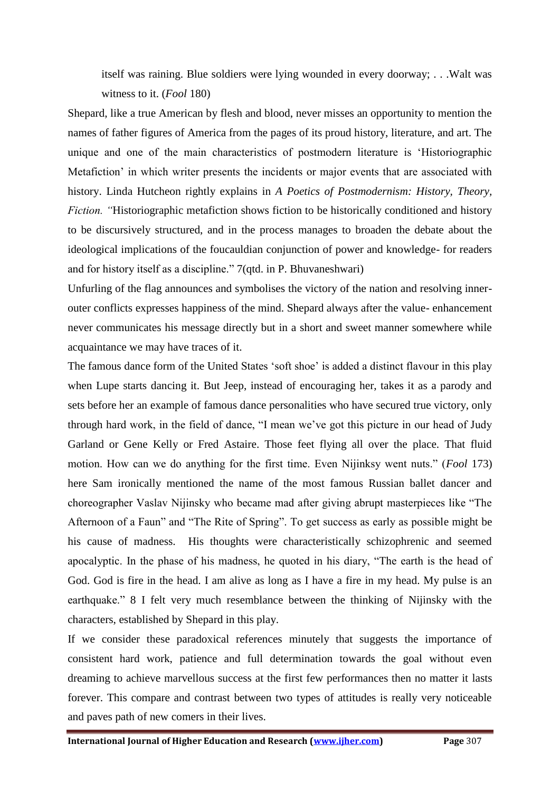itself was raining. Blue soldiers were lying wounded in every doorway; . . .Walt was witness to it. (*Fool* 180)

Shepard, like a true American by flesh and blood, never misses an opportunity to mention the names of father figures of America from the pages of its proud history, literature, and art. The unique and one of the main characteristics of postmodern literature is 'Historiographic Metafiction' in which writer presents the incidents or major events that are associated with history. Linda Hutcheon rightly explains in *A Poetics of Postmodernism: History, Theory, Fiction. "*Historiographic metafiction shows fiction to be historically conditioned and history to be discursively structured, and in the process manages to broaden the debate about the ideological implications of the foucauldian conjunction of power and knowledge- for readers and for history itself as a discipline." 7(qtd. in P. Bhuvaneshwari)

Unfurling of the flag announces and symbolises the victory of the nation and resolving innerouter conflicts expresses happiness of the mind. Shepard always after the value- enhancement never communicates his message directly but in a short and sweet manner somewhere while acquaintance we may have traces of it.

The famous dance form of the United States 'soft shoe' is added a distinct flavour in this play when Lupe starts dancing it. But Jeep, instead of encouraging her, takes it as a parody and sets before her an example of famous dance personalities who have secured true victory, only through hard work, in the field of dance, "I mean we've got this picture in our head of Judy Garland or Gene Kelly or Fred Astaire. Those feet flying all over the place. That fluid motion. How can we do anything for the first time. Even Nijinksy went nuts." (*Fool* 173) here Sam ironically mentioned the name of the most famous Russian ballet dancer and choreographer Vaslav Nijinsky who became mad after giving abrupt masterpieces like "The Afternoon of a Faun" and "The Rite of Spring". To get success as early as possible might be his cause of madness. His thoughts were characteristically schizophrenic and seemed apocalyptic. In the phase of his madness, he quoted in his diary, "The earth is the head of God. God is fire in the head. I am alive as long as I have a fire in my head. My pulse is an earthquake." 8 I felt very much resemblance between the thinking of Nijinsky with the characters, established by Shepard in this play.

If we consider these paradoxical references minutely that suggests the importance of consistent hard work, patience and full determination towards the goal without even dreaming to achieve marvellous success at the first few performances then no matter it lasts forever. This compare and contrast between two types of attitudes is really very noticeable and paves path of new comers in their lives.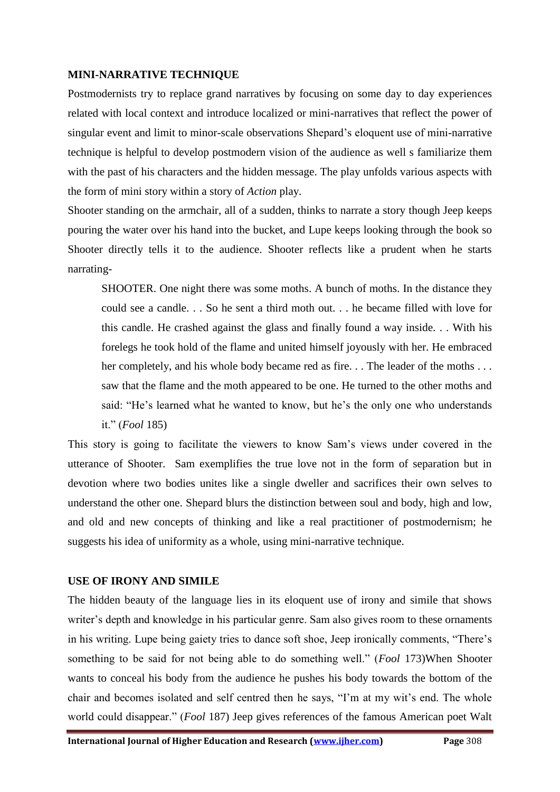#### **MINI-NARRATIVE TECHNIQUE**

Postmodernists try to replace grand narratives by focusing on some day to day experiences related with local context and introduce localized or mini-narratives that reflect the power of singular event and limit to minor-scale observations Shepard's eloquent use of mini-narrative technique is helpful to develop postmodern vision of the audience as well s familiarize them with the past of his characters and the hidden message. The play unfolds various aspects with the form of mini story within a story of *Action* play.

Shooter standing on the armchair, all of a sudden, thinks to narrate a story though Jeep keeps pouring the water over his hand into the bucket, and Lupe keeps looking through the book so Shooter directly tells it to the audience. Shooter reflects like a prudent when he starts narrating-

SHOOTER. One night there was some moths. A bunch of moths. In the distance they could see a candle. . . So he sent a third moth out. . . he became filled with love for this candle. He crashed against the glass and finally found a way inside. . . With his forelegs he took hold of the flame and united himself joyously with her. He embraced her completely, and his whole body became red as fire. . . The leader of the moths . . . saw that the flame and the moth appeared to be one. He turned to the other moths and said: "He's learned what he wanted to know, but he's the only one who understands it." (*Fool* 185)

This story is going to facilitate the viewers to know Sam's views under covered in the utterance of Shooter. Sam exemplifies the true love not in the form of separation but in devotion where two bodies unites like a single dweller and sacrifices their own selves to understand the other one. Shepard blurs the distinction between soul and body, high and low, and old and new concepts of thinking and like a real practitioner of postmodernism; he suggests his idea of uniformity as a whole, using mini-narrative technique.

## **USE OF IRONY AND SIMILE**

The hidden beauty of the language lies in its eloquent use of irony and simile that shows writer's depth and knowledge in his particular genre. Sam also gives room to these ornaments in his writing. Lupe being gaiety tries to dance soft shoe, Jeep ironically comments, "There's something to be said for not being able to do something well." (*Fool* 173)When Shooter wants to conceal his body from the audience he pushes his body towards the bottom of the chair and becomes isolated and self centred then he says, "I'm at my wit's end. The whole world could disappear." (*Fool* 187) Jeep gives references of the famous American poet Walt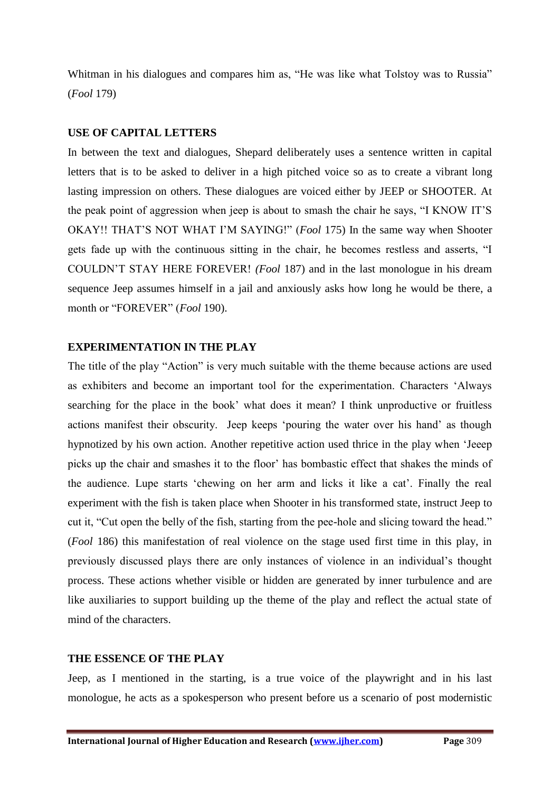Whitman in his dialogues and compares him as, "He was like what Tolstoy was to Russia" (*Fool* 179)

## **USE OF CAPITAL LETTERS**

In between the text and dialogues, Shepard deliberately uses a sentence written in capital letters that is to be asked to deliver in a high pitched voice so as to create a vibrant long lasting impression on others. These dialogues are voiced either by JEEP or SHOOTER. At the peak point of aggression when jeep is about to smash the chair he says, "I KNOW IT'S OKAY!! THAT'S NOT WHAT I'M SAYING!" (*Fool* 175) In the same way when Shooter gets fade up with the continuous sitting in the chair, he becomes restless and asserts, "I COULDN'T STAY HERE FOREVER! *(Fool* 187) and in the last monologue in his dream sequence Jeep assumes himself in a jail and anxiously asks how long he would be there, a month or "FOREVER" (*Fool* 190).

## **EXPERIMENTATION IN THE PLAY**

The title of the play "Action" is very much suitable with the theme because actions are used as exhibiters and become an important tool for the experimentation. Characters 'Always searching for the place in the book' what does it mean? I think unproductive or fruitless actions manifest their obscurity. Jeep keeps 'pouring the water over his hand' as though hypnotized by his own action. Another repetitive action used thrice in the play when 'Jeeep picks up the chair and smashes it to the floor' has bombastic effect that shakes the minds of the audience. Lupe starts 'chewing on her arm and licks it like a cat'. Finally the real experiment with the fish is taken place when Shooter in his transformed state, instruct Jeep to cut it, "Cut open the belly of the fish, starting from the pee-hole and slicing toward the head." (*Fool* 186) this manifestation of real violence on the stage used first time in this play, in previously discussed plays there are only instances of violence in an individual's thought process. These actions whether visible or hidden are generated by inner turbulence and are like auxiliaries to support building up the theme of the play and reflect the actual state of mind of the characters.

## **THE ESSENCE OF THE PLAY**

Jeep, as I mentioned in the starting, is a true voice of the playwright and in his last monologue, he acts as a spokesperson who present before us a scenario of post modernistic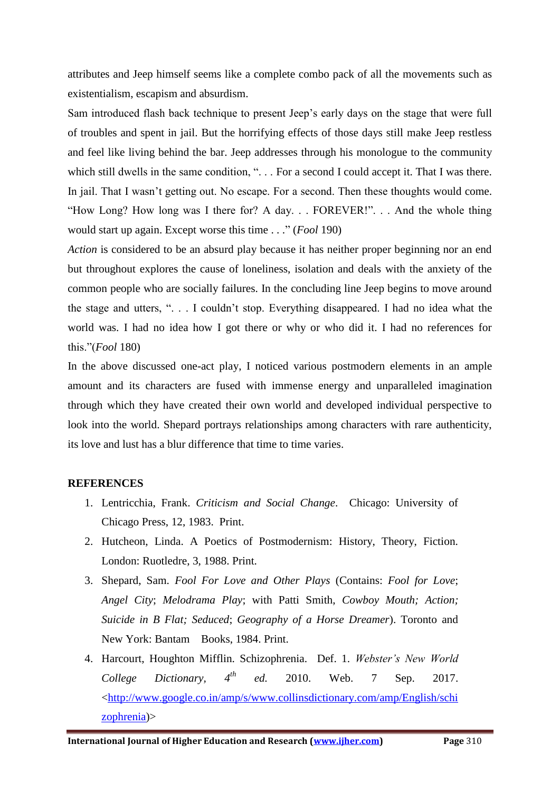attributes and Jeep himself seems like a complete combo pack of all the movements such as existentialism, escapism and absurdism.

Sam introduced flash back technique to present Jeep's early days on the stage that were full of troubles and spent in jail. But the horrifying effects of those days still make Jeep restless and feel like living behind the bar. Jeep addresses through his monologue to the community which still dwells in the same condition, ". . . For a second I could accept it. That I was there. In jail. That I wasn't getting out. No escape. For a second. Then these thoughts would come. "How Long? How long was I there for? A day. . . FOREVER!". . . And the whole thing would start up again. Except worse this time . . ." (*Fool* 190)

*Action* is considered to be an absurd play because it has neither proper beginning nor an end but throughout explores the cause of loneliness, isolation and deals with the anxiety of the common people who are socially failures. In the concluding line Jeep begins to move around the stage and utters, ". . . I couldn't stop. Everything disappeared. I had no idea what the world was. I had no idea how I got there or why or who did it. I had no references for this."(*Fool* 180)

In the above discussed one-act play, I noticed various postmodern elements in an ample amount and its characters are fused with immense energy and unparalleled imagination through which they have created their own world and developed individual perspective to look into the world. Shepard portrays relationships among characters with rare authenticity, its love and lust has a blur difference that time to time varies.

## **REFERENCES**

- 1. Lentricchia, Frank. *Criticism and Social Change*. Chicago: University of Chicago Press, 12, 1983. Print.
- 2. Hutcheon, Linda. A Poetics of Postmodernism: History, Theory, Fiction. London: Ruotledre, 3, 1988. Print.
- 3. Shepard, Sam. *Fool For Love and Other Plays* (Contains: *Fool for Love*; *Angel City*; *Melodrama Play*; with Patti Smith, *Cowboy Mouth; Action; Suicide in B Flat; Seduced*; *Geography of a Horse Dreamer*). Toronto and New York: Bantam Books, 1984. Print.
- 4. Harcourt, Houghton Mifflin. Schizophrenia. Def. 1. *Webster's New World College Dictionary, 4th ed.* 2010. Web. 7 Sep. 2017. [<http://www.google.co.in/amp/s/www.collinsdictionary.com/amp/English/schi](http://www.google.co.in/amp/s/www.collinsdictionary.com/amp/English/schizophrenia) [zophrenia\)](http://www.google.co.in/amp/s/www.collinsdictionary.com/amp/English/schizophrenia)>